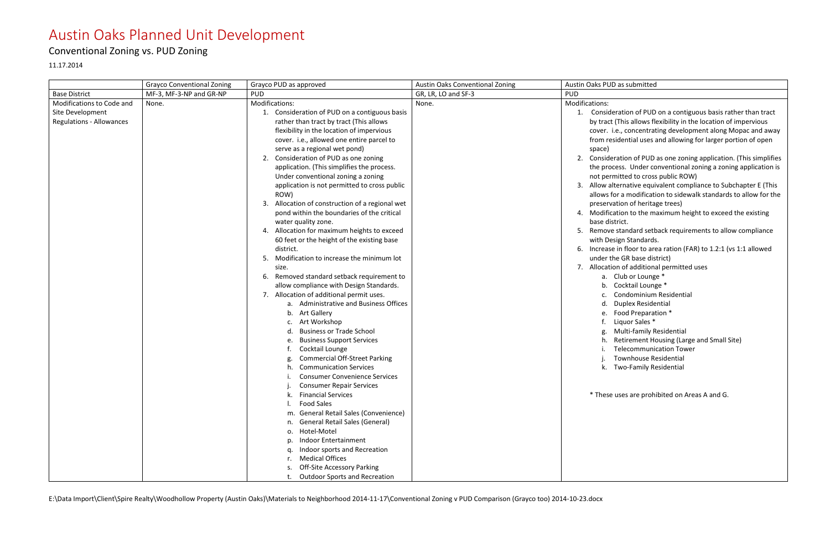#### Conventional Zoning vs. PUD Zoning

11.17.2014

E:\Data Import\Client\Spire Realty\Woodhollow Property (Austin Oaks)\Materials to Neighborhood 2014-11-17\Conventional Zoning v PUD Comparison (Grayco too) 2014-10-23.docx

deration of PUD on a contiguous basis rather than tract ct (This allows flexibility in the location of impervious i.e., concentrating development along Mopac and away residential uses and allowing for larger portion of open

deration of PUD as one zoning application. (This simplifies ocess. Under conventional zoning a zoning application is ermitted to cross public ROW)

alternative equivalent compliance to Subchapter E (This for a modification to sidewalk standards to allow for the vation of heritage trees)

ication to the maximum height to exceed the existing district.

ve standard setback requirements to allow compliance Design Standards.

ise in floor to area ration (FAR) to 1.2:1 (vs 1:1 allowed the GR base district)

tion of additional permitted uses

Club or Lounge \*

Cocktail Lounge \*

Condominium Residential

Duplex Residential

Food Preparation \*

|                                                     | <b>Grayco Conventional Zoning</b> | Grayco PUD as approved                                                                                                                                                                                                                                                                                                                                                                                                                                                                                                                                                                                                                                                                                                                                                                                                                                                                                                                                                                                                                                                                                                                                                                                                                                                                                                                                                                                                                                 | Austin Oaks Conventional Zoning | Austin Oaks PUD as submitted                                                                                                                                                                                                                                                                                                                                                                                                                                                                                                                                                                                                                                                                                                                            |
|-----------------------------------------------------|-----------------------------------|--------------------------------------------------------------------------------------------------------------------------------------------------------------------------------------------------------------------------------------------------------------------------------------------------------------------------------------------------------------------------------------------------------------------------------------------------------------------------------------------------------------------------------------------------------------------------------------------------------------------------------------------------------------------------------------------------------------------------------------------------------------------------------------------------------------------------------------------------------------------------------------------------------------------------------------------------------------------------------------------------------------------------------------------------------------------------------------------------------------------------------------------------------------------------------------------------------------------------------------------------------------------------------------------------------------------------------------------------------------------------------------------------------------------------------------------------------|---------------------------------|---------------------------------------------------------------------------------------------------------------------------------------------------------------------------------------------------------------------------------------------------------------------------------------------------------------------------------------------------------------------------------------------------------------------------------------------------------------------------------------------------------------------------------------------------------------------------------------------------------------------------------------------------------------------------------------------------------------------------------------------------------|
| <b>Base District</b>                                | MF-3, MF-3-NP and GR-NP           | <b>PUD</b>                                                                                                                                                                                                                                                                                                                                                                                                                                                                                                                                                                                                                                                                                                                                                                                                                                                                                                                                                                                                                                                                                                                                                                                                                                                                                                                                                                                                                                             | GR, LR, LO and SF-3             | <b>PUD</b>                                                                                                                                                                                                                                                                                                                                                                                                                                                                                                                                                                                                                                                                                                                                              |
| Modifications to Code and                           | None.                             | Modifications:                                                                                                                                                                                                                                                                                                                                                                                                                                                                                                                                                                                                                                                                                                                                                                                                                                                                                                                                                                                                                                                                                                                                                                                                                                                                                                                                                                                                                                         | None.                           | Modifications:                                                                                                                                                                                                                                                                                                                                                                                                                                                                                                                                                                                                                                                                                                                                          |
| Site Development<br><b>Regulations - Allowances</b> |                                   | 1. Consideration of PUD on a contiguous basis<br>rather than tract by tract (This allows<br>flexibility in the location of impervious<br>cover. i.e., allowed one entire parcel to<br>serve as a regional wet pond)<br>Consideration of PUD as one zoning<br>2.<br>application. (This simplifies the process.<br>Under conventional zoning a zoning<br>application is not permitted to cross public<br>ROW)<br>Allocation of construction of a regional wet<br>3.<br>pond within the boundaries of the critical<br>water quality zone.<br>Allocation for maximum heights to exceed<br>4.<br>60 feet or the height of the existing base<br>district.<br>Modification to increase the minimum lot<br>size.<br>Removed standard setback requirement to<br>6.<br>allow compliance with Design Standards.<br>Allocation of additional permit uses.<br><b>Administrative and Business Offices</b><br>а.<br><b>Art Gallery</b><br>b.<br>Art Workshop<br>c<br><b>Business or Trade School</b><br>d<br><b>Business Support Services</b><br>e<br>Cocktail Lounge<br><b>Commercial Off-Street Parking</b><br><b>Communication Services</b><br><b>Consumer Convenience Services</b><br><b>Consumer Repair Services</b><br><b>Financial Services</b><br>k.<br><b>Food Sales</b><br>General Retail Sales (Convenience)<br>m.<br><b>General Retail Sales (General)</b><br>n.<br>Hotel-Motel<br>о.<br>Indoor Entertainment<br>D.<br>Indoor sports and Recreation<br>a. |                                 | <b>Consideration of PUD</b><br>1.<br>by tract (This allows fle<br>cover. i.e., concentrat<br>from residential uses a<br>space)<br><b>Consideration of PUD</b><br>2.<br>the process. Under co<br>not permitted to cross<br>Allow alternative equi<br>3.<br>allows for a modificati<br>preservation of herita<br>4. Modification to the m<br>base district.<br>Remove standard setb<br>5.<br>with Design Standards<br>Increase in floor to are<br>6.<br>under the GR base dis-<br>Allocation of additiona<br>7.<br>a. Club or Loung<br>Cocktail Loung<br>b.<br>Condominium<br><b>Duplex Reside</b><br><b>Food Preparat</b><br>Liquor Sales *<br>Multi-family R<br>Retirement Ho<br>Telecommuni<br>Townhouse Re<br>Two-Family Re<br>* These uses are prohi |
|                                                     |                                   | <b>Medical Offices</b><br>r.<br><b>Off-Site Accessory Parking</b><br>S.                                                                                                                                                                                                                                                                                                                                                                                                                                                                                                                                                                                                                                                                                                                                                                                                                                                                                                                                                                                                                                                                                                                                                                                                                                                                                                                                                                                |                                 |                                                                                                                                                                                                                                                                                                                                                                                                                                                                                                                                                                                                                                                                                                                                                         |

g. Multi-family Residential

Retirement Housing (Large and Small Site)

i. Telecommunication Tower

Townhouse Residential

**Two-Family Residential** 

se uses are prohibited on Areas A and G.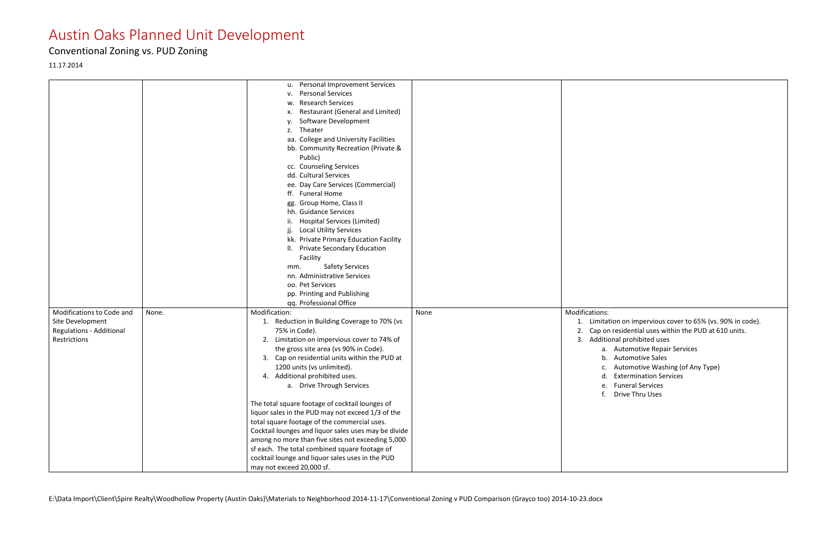## Conventional Zoning vs. PUD Zoning

11.17.2014

ration on impervious cover to 65% (vs. 90% in code). on residential uses within the PUD at 610 units.

- tional prohibited uses
- Automotive Repair Services
- b. Automotive Sales
- Automotive Washing (of Any Type)
- **Extermination Services**
- **Funeral Services**
- Drive Thru Uses

| <b>Personal Improvement Services</b><br>u.<br><b>Personal Services</b><br>v.<br><b>Research Services</b><br>w. |                |
|----------------------------------------------------------------------------------------------------------------|----------------|
|                                                                                                                |                |
|                                                                                                                |                |
|                                                                                                                |                |
| Restaurant (General and Limited)<br>х.                                                                         |                |
| Software Development                                                                                           |                |
| Theater<br>z.                                                                                                  |                |
| aa. College and University Facilities                                                                          |                |
| bb. Community Recreation (Private &                                                                            |                |
| Public)                                                                                                        |                |
| cc. Counseling Services                                                                                        |                |
| dd. Cultural Services                                                                                          |                |
| ee. Day Care Services (Commercial)                                                                             |                |
| ff. Funeral Home                                                                                               |                |
| gg. Group Home, Class II                                                                                       |                |
| hh. Guidance Services                                                                                          |                |
| <b>Hospital Services (Limited)</b><br>н.                                                                       |                |
| <b>Local Utility Services</b><br>jj.                                                                           |                |
| kk. Private Primary Education Facility                                                                         |                |
| Private Secondary Education<br>II.                                                                             |                |
| Facility                                                                                                       |                |
| <b>Safety Services</b><br>mm.                                                                                  |                |
| nn. Administrative Services                                                                                    |                |
| oo. Pet Services                                                                                               |                |
| pp. Printing and Publishing                                                                                    |                |
| qq. Professional Office                                                                                        |                |
| Modifications to Code and<br>Modification:<br>None.<br>None                                                    | Modifications: |
| Site Development<br>1. Reduction in Building Coverage to 70% (vs                                               | Limita         |
| Regulations - Additional<br>75% in Code).                                                                      | 2.<br>Cap or   |
| Restrictions<br>Limitation on impervious cover to 74% of<br>2.                                                 | 3.<br>Additi   |
| the gross site area (vs 90% in Code).                                                                          | а.             |
| 3. Cap on residential units within the PUD at                                                                  | $\mathsf{b}$   |
| 1200 units (vs unlimited).                                                                                     | c.             |
| 4. Additional prohibited uses.                                                                                 | d.             |
| a. Drive Through Services                                                                                      | e.             |
|                                                                                                                | f.             |
|                                                                                                                |                |
| The total square footage of cocktail lounges of                                                                |                |
| liquor sales in the PUD may not exceed 1/3 of the                                                              |                |
| total square footage of the commercial uses.                                                                   |                |
|                                                                                                                |                |
| Cocktail lounges and liquor sales uses may be divide                                                           |                |
| among no more than five sites not exceeding 5,000<br>sf each. The total combined square footage of             |                |
| cocktail lounge and liquor sales uses in the PUD                                                               |                |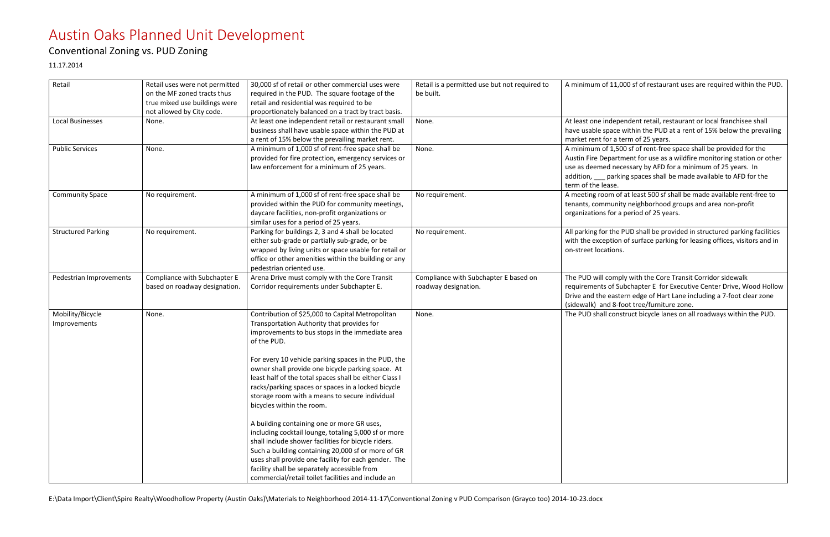#### Conventional Zoning vs. PUD Zoning

#### 11.17.2014

E:\Data Import\Client\Spire Realty\Woodhollow Property (Austin Oaks)\Materials to Neighborhood 2014-11-17\Conventional Zoning v PUD Comparison (Grayco too) 2014-10-23.docx

 $41,000$  sf of restaurant uses are required within the PUD.

dependent retail, restaurant or local franchisee shall bace within the PUD at a rent of 15% below the prevailing or a term of 25 years.

f 1,500 sf of rent-free space shall be provided for the partment for use as a wildfire monitoring station or other d necessary by AFD for a minimum of 25 years. In parking spaces shall be made available to AFD for the ase.

om of at least 500 sf shall be made available rent-free to nunity neighborhood groups and area non-profit for a period of 25 years.

the PUD shall be provided in structured parking facilities otion of surface parking for leasing offices, visitors and in tions.

comply with the Core Transit Corridor sidewalk of Subchapter E for Executive Center Drive, Wood Hollow eastern edge of Hart Lane including a 7-foot clear zone d 8-foot tree/furniture zone.

construct bicycle lanes on all roadways within the PUD.

| Retail                    | Retail uses were not permitted | 30,000 sf of retail or other commercial uses were                                                        | Retail is a permitted use but not required to | A minimum of                     |
|---------------------------|--------------------------------|----------------------------------------------------------------------------------------------------------|-----------------------------------------------|----------------------------------|
|                           | on the MF zoned tracts thus    | required in the PUD. The square footage of the                                                           | be built.                                     |                                  |
|                           | true mixed use buildings were  | retail and residential was required to be                                                                |                                               |                                  |
|                           | not allowed by City code.      | proportionately balanced on a tract by tract basis.                                                      |                                               |                                  |
| <b>Local Businesses</b>   | None.                          | At least one independent retail or restaurant small                                                      | None.                                         | At least one in                  |
|                           |                                | business shall have usable space within the PUD at                                                       |                                               | have usable sp                   |
|                           |                                | a rent of 15% below the prevailing market rent.                                                          |                                               | market rent fo                   |
| <b>Public Services</b>    | None.                          | A minimum of 1,000 sf of rent-free space shall be                                                        | None.                                         | A minimum of                     |
|                           |                                | provided for fire protection, emergency services or                                                      |                                               | Austin Fire Dep                  |
|                           |                                | law enforcement for a minimum of 25 years.                                                               |                                               | use as deemed                    |
|                           |                                |                                                                                                          |                                               | addition, ___ p                  |
|                           |                                |                                                                                                          |                                               | term of the lea                  |
| <b>Community Space</b>    | No requirement.                | A minimum of 1,000 sf of rent-free space shall be                                                        | No requirement.                               | A meeting roor                   |
|                           |                                | provided within the PUD for community meetings,<br>daycare facilities, non-profit organizations or       |                                               | tenants, comm<br>organizations f |
|                           |                                | similar uses for a period of 25 years.                                                                   |                                               |                                  |
| <b>Structured Parking</b> | No requirement.                | Parking for buildings 2, 3 and 4 shall be located                                                        | No requirement.                               | All parking for                  |
|                           |                                | either sub-grade or partially sub-grade, or be                                                           |                                               | with the excep                   |
|                           |                                | wrapped by living units or space usable for retail or                                                    |                                               | on-street locat                  |
|                           |                                | office or other amenities within the building or any                                                     |                                               |                                  |
|                           |                                | pedestrian oriented use.                                                                                 |                                               |                                  |
| Pedestrian Improvements   | Compliance with Subchapter E   | Arena Drive must comply with the Core Transit                                                            | Compliance with Subchapter E based on         | The PUD will co                  |
|                           | based on roadway designation.  | Corridor requirements under Subchapter E.                                                                | roadway designation.                          | requirements                     |
|                           |                                |                                                                                                          |                                               | Drive and the e                  |
|                           |                                |                                                                                                          |                                               | (sidewalk) and                   |
| Mobility/Bicycle          | None.                          | Contribution of \$25,000 to Capital Metropolitan                                                         | None.                                         | The PUD shall                    |
| Improvements              |                                | Transportation Authority that provides for                                                               |                                               |                                  |
|                           |                                | improvements to bus stops in the immediate area                                                          |                                               |                                  |
|                           |                                | of the PUD.                                                                                              |                                               |                                  |
|                           |                                |                                                                                                          |                                               |                                  |
|                           |                                | For every 10 vehicle parking spaces in the PUD, the<br>owner shall provide one bicycle parking space. At |                                               |                                  |
|                           |                                | least half of the total spaces shall be either Class I                                                   |                                               |                                  |
|                           |                                | racks/parking spaces or spaces in a locked bicycle                                                       |                                               |                                  |
|                           |                                | storage room with a means to secure individual                                                           |                                               |                                  |
|                           |                                | bicycles within the room.                                                                                |                                               |                                  |
|                           |                                |                                                                                                          |                                               |                                  |
|                           |                                | A building containing one or more GR uses,                                                               |                                               |                                  |
|                           |                                | including cocktail lounge, totaling 5,000 sf or more                                                     |                                               |                                  |
|                           |                                | shall include shower facilities for bicycle riders.                                                      |                                               |                                  |
|                           |                                | Such a building containing 20,000 sf or more of GR                                                       |                                               |                                  |
|                           |                                | uses shall provide one facility for each gender. The                                                     |                                               |                                  |
|                           |                                | facility shall be separately accessible from                                                             |                                               |                                  |
|                           |                                | commercial/retail toilet facilities and include an                                                       |                                               |                                  |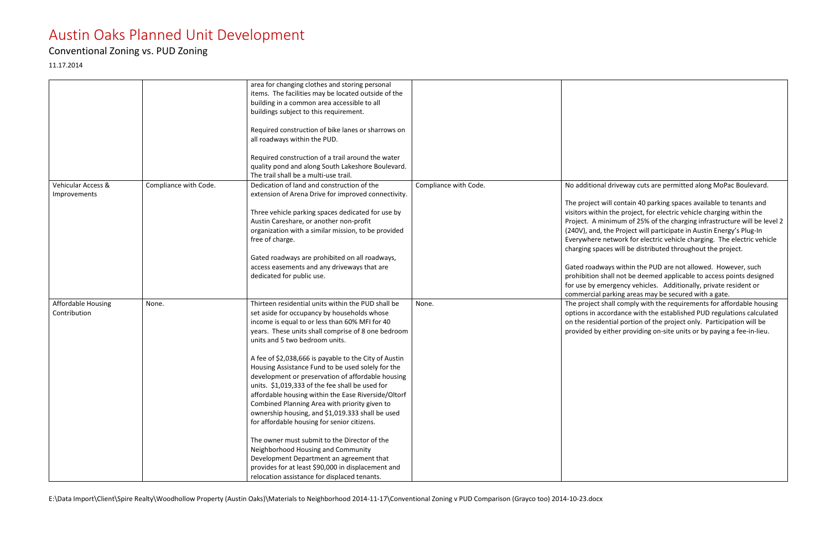#### Conventional Zoning vs. PUD Zoning

11.17.2014

E:\Data Import\Client\Spire Realty\Woodhollow Property (Austin Oaks)\Materials to Neighborhood 2014-11-17\Conventional Zoning v PUD Comparison (Grayco too) 2014-10-23.docx

Iriveway cuts are permitted along MoPac Boulevard.

I contain 40 parking spaces available to tenants and the project, for electric vehicle charging within the imum of 25% of the charging infrastructure will be level 2 e Project will participate in Austin Energy's Plug-In twork for electric vehicle charging. The electric vehicle es will be distributed throughout the project.

ys within the PUD are not allowed. However, such all not be deemed applicable to access points designed rgency vehicles. Additionally, private resident or rking areas may be secured with a gate.

all comply with the requirements for affordable housing ordance with the established PUD regulations calculated tial portion of the project only. Participation will be ther providing on-site units or by paying a fee-in-lieu.

|                           |                       | area for changing clothes and storing personal        |                       |                   |
|---------------------------|-----------------------|-------------------------------------------------------|-----------------------|-------------------|
|                           |                       | items. The facilities may be located outside of the   |                       |                   |
|                           |                       | building in a common area accessible to all           |                       |                   |
|                           |                       | buildings subject to this requirement.                |                       |                   |
|                           |                       |                                                       |                       |                   |
|                           |                       | Required construction of bike lanes or sharrows on    |                       |                   |
|                           |                       | all roadways within the PUD.                          |                       |                   |
|                           |                       |                                                       |                       |                   |
|                           |                       | Required construction of a trail around the water     |                       |                   |
|                           |                       | quality pond and along South Lakeshore Boulevard.     |                       |                   |
|                           |                       | The trail shall be a multi-use trail.                 |                       |                   |
| Vehicular Access &        | Compliance with Code. | Dedication of land and construction of the            | Compliance with Code. | No additional d   |
| Improvements              |                       | extension of Arena Drive for improved connectivity.   |                       |                   |
|                           |                       |                                                       |                       | The project will  |
|                           |                       | Three vehicle parking spaces dedicated for use by     |                       | visitors within t |
|                           |                       |                                                       |                       |                   |
|                           |                       | Austin Careshare, or another non-profit               |                       | Project. A mini   |
|                           |                       | organization with a similar mission, to be provided   |                       | (240V), and, the  |
|                           |                       | free of charge.                                       |                       | Everywhere ne     |
|                           |                       |                                                       |                       | charging spaces   |
|                           |                       | Gated roadways are prohibited on all roadways,        |                       |                   |
|                           |                       | access easements and any driveways that are           |                       | Gated roadway     |
|                           |                       | dedicated for public use.                             |                       | prohibition sha   |
|                           |                       |                                                       |                       | for use by emer   |
|                           |                       |                                                       |                       | commercial par    |
| <b>Affordable Housing</b> | None.                 | Thirteen residential units within the PUD shall be    | None.                 | The project sha   |
| Contribution              |                       | set aside for occupancy by households whose           |                       | options in acco   |
|                           |                       | income is equal to or less than 60% MFI for 40        |                       | on the resident   |
|                           |                       | years. These units shall comprise of 8 one bedroom    |                       | provided by eit   |
|                           |                       | units and 5 two bedroom units.                        |                       |                   |
|                           |                       |                                                       |                       |                   |
|                           |                       | A fee of \$2,038,666 is payable to the City of Austin |                       |                   |
|                           |                       | Housing Assistance Fund to be used solely for the     |                       |                   |
|                           |                       | development or preservation of affordable housing     |                       |                   |
|                           |                       | units. \$1,019,333 of the fee shall be used for       |                       |                   |
|                           |                       | affordable housing within the Ease Riverside/Oltorf   |                       |                   |
|                           |                       | Combined Planning Area with priority given to         |                       |                   |
|                           |                       | ownership housing, and \$1,019.333 shall be used      |                       |                   |
|                           |                       | for affordable housing for senior citizens.           |                       |                   |
|                           |                       |                                                       |                       |                   |
|                           |                       | The owner must submit to the Director of the          |                       |                   |
|                           |                       | Neighborhood Housing and Community                    |                       |                   |
|                           |                       | Development Department an agreement that              |                       |                   |
|                           |                       | provides for at least \$90,000 in displacement and    |                       |                   |
|                           |                       | relocation assistance for displaced tenants.          |                       |                   |
|                           |                       |                                                       |                       |                   |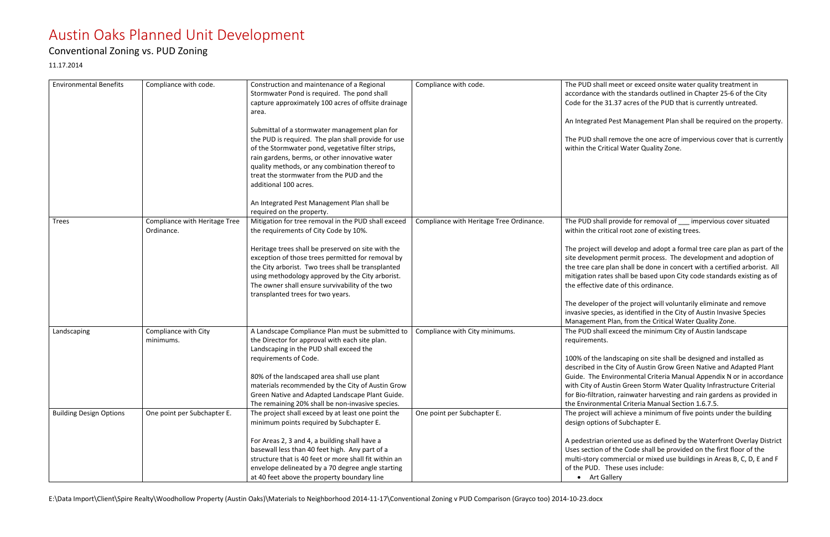#### Conventional Zoning vs. PUD Zoning

11.17.2014

E:\Data Import\Client\Spire Realty\Woodhollow Property (Austin Oaks)\Materials to Neighborhood 2014-11-17\Conventional Zoning v PUD Comparison (Grayco too) 2014-10-23.docx

meet or exceed onsite water quality treatment in ith the standards outlined in Chapter 25-6 of the City 1.37 acres of the PUD that is currently untreated.

Pest Management Plan shall be required on the property.

remove the one acre of impervious cover that is currently ical Water Quality Zone.

provide for removal of \_\_\_ impervious cover situated ical root zone of existing trees.

Ill develop and adopt a formal tree care plan as part of the ent permit process. The development and adoption of blan shall be done in concert with a certified arborist. All es shall be based upon City code standards existing as of late of this ordinance.

of the project will voluntarily eliminate and remove es, as identified in the City of Austin Invasive Species Plan, from the Critical Water Quality Zone. exceed the minimum City of Austin landscape

ndscaping on site shall be designed and installed as ne City of Austin Grow Green Native and Adapted Plant ivironmental Criteria Manual Appendix N or in accordance ustin Green Storm Water Quality Infrastructure Criterial on, rainwater harvesting and rain gardens as provided in ental Criteria Manual Section 1.6.7.5.

Ill achieve a minimum of five points under the building design of Subchapter E.

riented use as defined by the Waterfront Overlay District If the Code shall be provided on the first floor of the mmercial or mixed use buildings in Areas B, C, D, E and F hese uses include: **Illery** 

| <b>Environmental Benefits</b>  | Compliance with code.                | Construction and maintenance of a Regional                                                       | Compliance with code.                    | The PUD shall     |
|--------------------------------|--------------------------------------|--------------------------------------------------------------------------------------------------|------------------------------------------|-------------------|
|                                |                                      | Stormwater Pond is required. The pond shall                                                      |                                          | accordance wit    |
|                                |                                      | capture approximately 100 acres of offsite drainage                                              |                                          | Code for the 3:   |
|                                |                                      | area.                                                                                            |                                          |                   |
|                                |                                      |                                                                                                  |                                          | An Integrated     |
|                                |                                      | Submittal of a stormwater management plan for                                                    |                                          |                   |
|                                |                                      | the PUD is required. The plan shall provide for use                                              |                                          | The PUD shall     |
|                                |                                      | of the Stormwater pond, vegetative filter strips,                                                |                                          | within the Criti  |
|                                |                                      | rain gardens, berms, or other innovative water<br>quality methods, or any combination thereof to |                                          |                   |
|                                |                                      | treat the stormwater from the PUD and the                                                        |                                          |                   |
|                                |                                      | additional 100 acres.                                                                            |                                          |                   |
|                                |                                      | An Integrated Pest Management Plan shall be                                                      |                                          |                   |
|                                |                                      | required on the property.                                                                        |                                          |                   |
| Trees                          | <b>Compliance with Heritage Tree</b> | Mitigation for tree removal in the PUD shall exceed                                              | Compliance with Heritage Tree Ordinance. | The PUD shall     |
|                                | Ordinance.                           | the requirements of City Code by 10%.                                                            |                                          | within the criti  |
|                                |                                      | Heritage trees shall be preserved on site with the                                               |                                          | The project wil   |
|                                |                                      | exception of those trees permitted for removal by                                                |                                          | site developme    |
|                                |                                      | the City arborist. Two trees shall be transplanted                                               |                                          | the tree care p   |
|                                |                                      | using methodology approved by the City arborist.                                                 |                                          | mitigation rate   |
|                                |                                      | The owner shall ensure survivability of the two<br>transplanted trees for two years.             |                                          | the effective d   |
|                                |                                      |                                                                                                  |                                          | The developer     |
|                                |                                      |                                                                                                  |                                          | invasive specie   |
|                                |                                      |                                                                                                  |                                          | Management F      |
| Landscaping                    | Compliance with City                 | A Landscape Compliance Plan must be submitted to                                                 | Compliance with City minimums.           | The PUD shall     |
|                                | minimums.                            | the Director for approval with each site plan.<br>Landscaping in the PUD shall exceed the        |                                          | requirements.     |
|                                |                                      | requirements of Code.                                                                            |                                          | 100% of the lar   |
|                                |                                      |                                                                                                  |                                          | described in th   |
|                                |                                      | 80% of the landscaped area shall use plant                                                       |                                          | Guide. The En     |
|                                |                                      | materials recommended by the City of Austin Grow                                                 |                                          | with City of Au   |
|                                |                                      | Green Native and Adapted Landscape Plant Guide.                                                  |                                          | for Bio-filtratio |
|                                |                                      | The remaining 20% shall be non-invasive species.                                                 |                                          | the Environme     |
| <b>Building Design Options</b> | One point per Subchapter E.          | The project shall exceed by at least one point the                                               | One point per Subchapter E.              | The project wil   |
|                                |                                      | minimum points required by Subchapter E.                                                         |                                          | design options    |
|                                |                                      | For Areas 2, 3 and 4, a building shall have a                                                    |                                          | A pedestrian o    |
|                                |                                      | basewall less than 40 feet high. Any part of a                                                   |                                          | Uses section of   |
|                                |                                      | structure that is 40 feet or more shall fit within an                                            |                                          | multi-story cor   |
|                                |                                      | envelope delineated by a 70 degree angle starting                                                |                                          | of the PUD. Tl    |
|                                |                                      | at 40 feet above the property boundary line                                                      |                                          | $\bullet$ Art Ga  |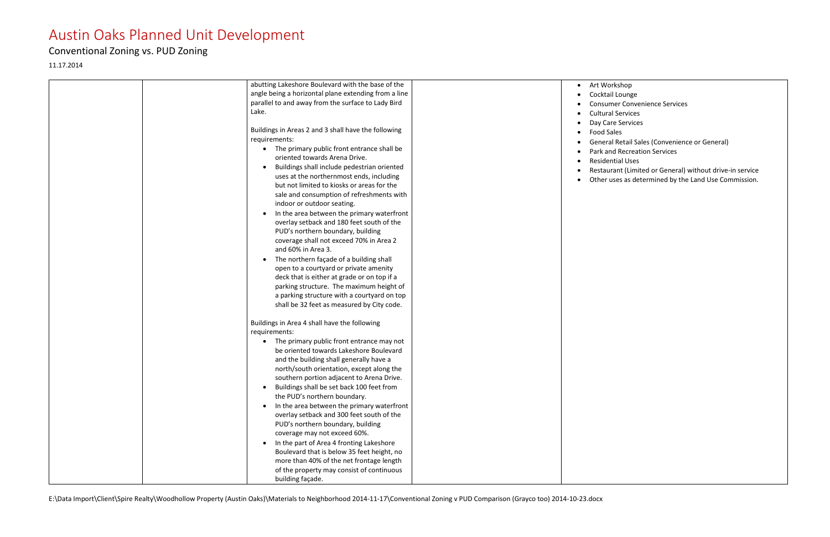## Conventional Zoning vs. PUD Zoning

11.17.2014

E:\Data Import\Client\Spire Realty\Woodhollow Property (Austin Oaks)\Materials to Neighborhood 2014-11-17\Conventional Zoning v PUD Comparison (Grayco too) 2014-10-23.docx

**Workshop** 

- cktail Lounge
- nsumer Convenience Services
- tural Services
- Gare Services
- od Sales
- neral Retail Sales (Convenience or General)
- k and Recreation Services
- sidential Uses
- staurant (Limited or General) without drive-in service
- her uses as determined by the Land Use Commission.

| abutting Lakeshore Boulevard with the base of the       | Art        |
|---------------------------------------------------------|------------|
| angle being a horizontal plane extending from a line    | Coc        |
| parallel to and away from the surface to Lady Bird      | Con        |
| Lake.                                                   | Cult       |
|                                                         | Day        |
| Buildings in Areas 2 and 3 shall have the following     | Foo        |
| requirements:                                           | Ger        |
| • The primary public front entrance shall be            | Parl       |
| oriented towards Arena Drive.                           | Res        |
| Buildings shall include pedestrian oriented             | <b>Res</b> |
| uses at the northernmost ends, including                | Oth        |
| but not limited to kiosks or areas for the              |            |
| sale and consumption of refreshments with               |            |
| indoor or outdoor seating.                              |            |
| In the area between the primary waterfront<br>$\bullet$ |            |
| overlay setback and 180 feet south of the               |            |
| PUD's northern boundary, building                       |            |
| coverage shall not exceed 70% in Area 2                 |            |
| and 60% in Area 3.                                      |            |
| The northern façade of a building shall                 |            |
| open to a courtyard or private amenity                  |            |
| deck that is either at grade or on top if a             |            |
| parking structure. The maximum height of                |            |
| a parking structure with a courtyard on top             |            |
| shall be 32 feet as measured by City code.              |            |
| Buildings in Area 4 shall have the following            |            |
| requirements:                                           |            |
| The primary public front entrance may not<br>$\bullet$  |            |
| be oriented towards Lakeshore Boulevard                 |            |
| and the building shall generally have a                 |            |
| north/south orientation, except along the               |            |
| southern portion adjacent to Arena Drive.               |            |
| Buildings shall be set back 100 feet from               |            |
| the PUD's northern boundary.                            |            |
| In the area between the primary waterfront              |            |
| overlay setback and 300 feet south of the               |            |
| PUD's northern boundary, building                       |            |
| coverage may not exceed 60%.                            |            |
| In the part of Area 4 fronting Lakeshore                |            |
| Boulevard that is below 35 feet height, no              |            |
| more than 40% of the net frontage length                |            |
| of the property may consist of continuous               |            |
| building façade.                                        |            |